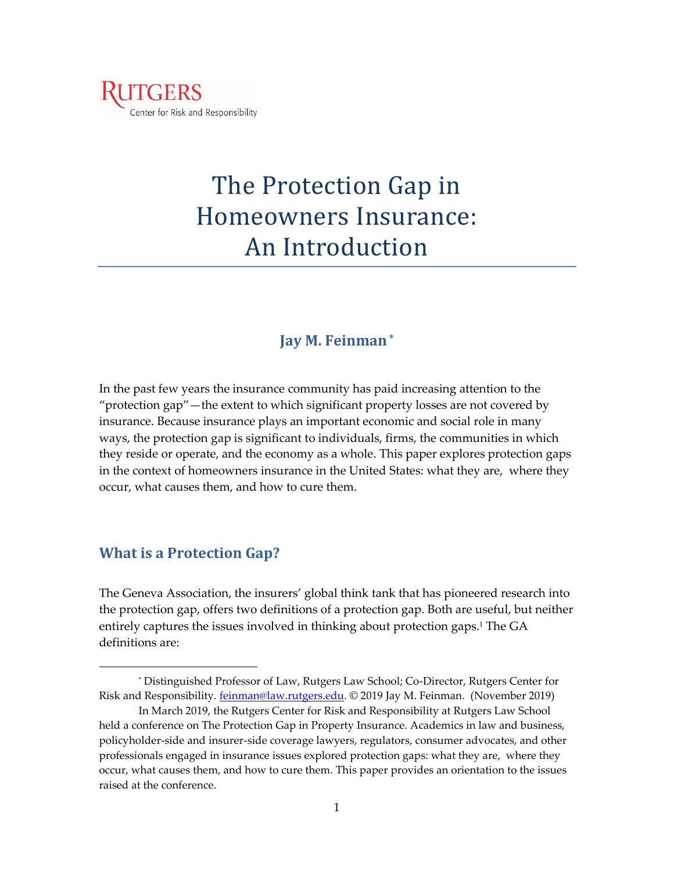

# The Protection Gap in Homeowners Insurance: An Introduction

## **Jay M. Feinman\***

In the past few years the insurance community has paid increasing attention to the "protection gap"—the extent to which significant property losses are not covered by insurance. Because insurance plays an important economic and social role in many ways, the protection gap is significant to individuals, firms, the communities in which they reside or operate, and the economy as a whole. This paper explores protection gaps in the context of homeowners insurance in the United States: what they are, where they occur, what causes them, and how to cure them.

## **What is a Protection Gap?**

The Geneva Association, the insurers' global think tank that has pioneered research into the protection gap, offers two definitions of a protection gap. Both are useful, but neither entirely captures the issues involved in thinking about protection gaps.<sup>1</sup> The GA definitions are:

<sup>\*</sup> Distinguished Professor of Law, Rutgers Law School; Co-Director, Rutgers Center for Risk and Responsibility. *feinman@law.rutgers.edu.* © 2019 Jay M. Feinman. (November 2019)

In March 2019, the Rutgers Center for Risk and Responsibility at Rutgers Law School held a conference on The Protection Gap in Property Insurance. Academics in law and business, policyholder-side and insurer-side coverage lawyers, regulators, consumer advocates, and other professionals engaged in insurance issues explored protection gaps: what they are, where they occur, what causes them, and how to cure them. This paper provides an orientation to the issues raised at the conference.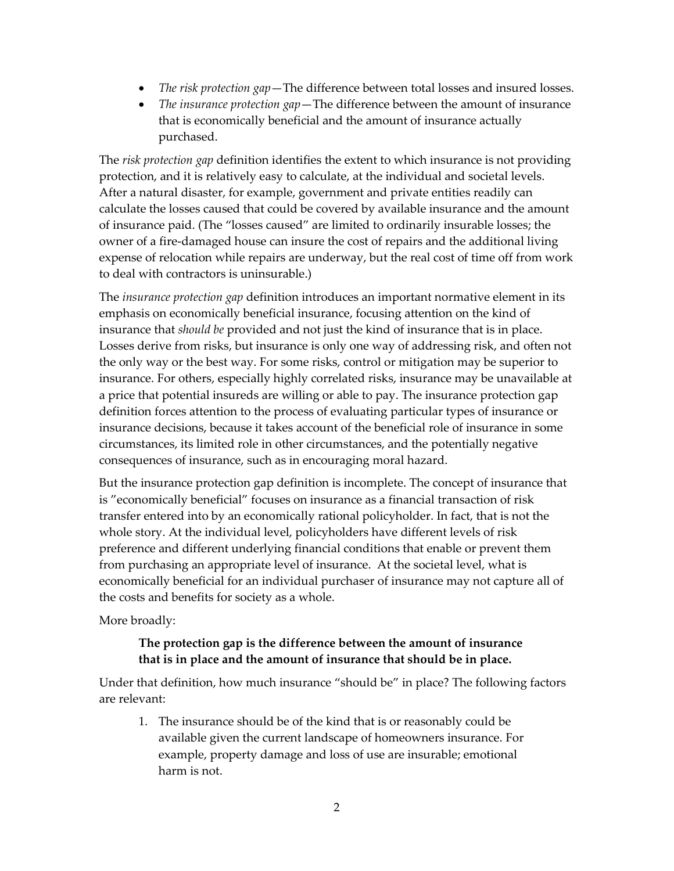- *The risk protection gap*—The difference between total losses and insured losses.
- *The insurance protection gap*—The difference between the amount of insurance that is economically beneficial and the amount of insurance actually purchased.

The *risk protection gap* definition identifies the extent to which insurance is not providing protection, and it is relatively easy to calculate, at the individual and societal levels. After a natural disaster, for example, government and private entities readily can calculate the losses caused that could be covered by available insurance and the amount of insurance paid. (The "losses caused" are limited to ordinarily insurable losses; the owner of a fire-damaged house can insure the cost of repairs and the additional living expense of relocation while repairs are underway, but the real cost of time off from work to deal with contractors is uninsurable.)

The *insurance protection gap* definition introduces an important normative element in its emphasis on economically beneficial insurance, focusing attention on the kind of insurance that *should be* provided and not just the kind of insurance that is in place. Losses derive from risks, but insurance is only one way of addressing risk, and often not the only way or the best way. For some risks, control or mitigation may be superior to insurance. For others, especially highly correlated risks, insurance may be unavailable at a price that potential insureds are willing or able to pay. The insurance protection gap definition forces attention to the process of evaluating particular types of insurance or insurance decisions, because it takes account of the beneficial role of insurance in some circumstances, its limited role in other circumstances, and the potentially negative consequences of insurance, such as in encouraging moral hazard.

But the insurance protection gap definition is incomplete. The concept of insurance that is "economically beneficial" focuses on insurance as a financial transaction of risk transfer entered into by an economically rational policyholder. In fact, that is not the whole story. At the individual level, policyholders have different levels of risk preference and different underlying financial conditions that enable or prevent them from purchasing an appropriate level of insurance. At the societal level, what is economically beneficial for an individual purchaser of insurance may not capture all of the costs and benefits for society as a whole.

More broadly:

## **The protection gap is the difference between the amount of insurance that is in place and the amount of insurance that should be in place.**

Under that definition, how much insurance "should be" in place? The following factors are relevant:

1. The insurance should be of the kind that is or reasonably could be available given the current landscape of homeowners insurance. For example, property damage and loss of use are insurable; emotional harm is not.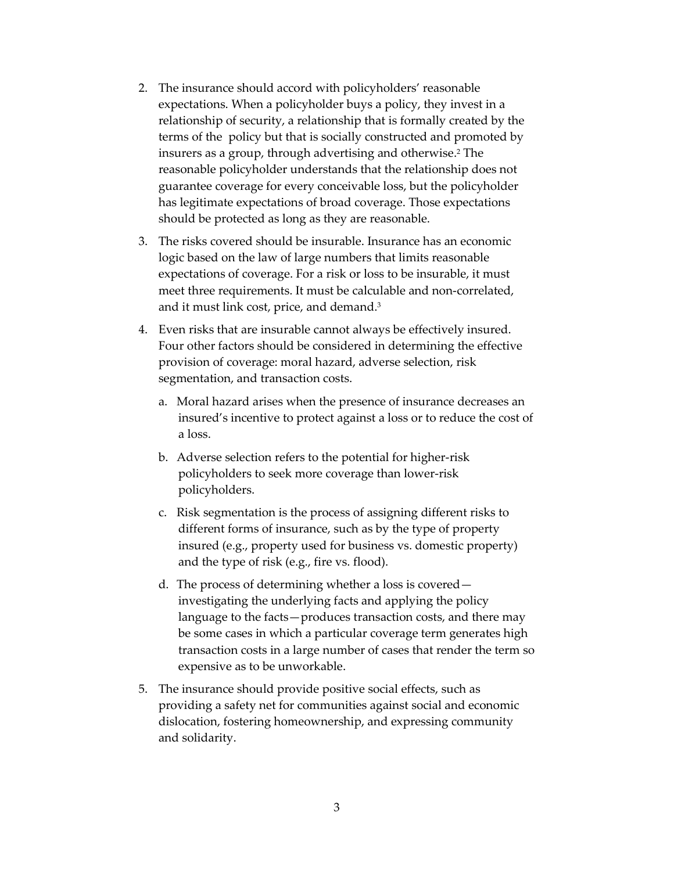- 2. The insurance should accord with policyholders' reasonable expectations. When a policyholder buys a policy, they invest in a relationship of security, a relationship that is formally created by the terms of the policy but that is socially constructed and promoted by insurers as a group, through advertising and otherwise. <sup>2</sup> The reasonable policyholder understands that the relationship does not guarantee coverage for every conceivable loss, but the policyholder has legitimate expectations of broad coverage. Those expectations should be protected as long as they are reasonable.
- 3. The risks covered should be insurable. Insurance has an economic logic based on the law of large numbers that limits reasonable expectations of coverage. For a risk or loss to be insurable, it must meet three requirements. It must be calculable and non-correlated, and it must link cost, price, and demand.<sup>3</sup>
- 4. Even risks that are insurable cannot always be effectively insured. Four other factors should be considered in determining the effective provision of coverage: moral hazard, adverse selection, risk segmentation, and transaction costs.
	- a. Moral hazard arises when the presence of insurance decreases an insured's incentive to protect against a loss or to reduce the cost of a loss.
	- b. Adverse selection refers to the potential for higher-risk policyholders to seek more coverage than lower-risk policyholders.
	- c. Risk segmentation is the process of assigning different risks to different forms of insurance, such as by the type of property insured (e.g., property used for business vs. domestic property) and the type of risk (e.g., fire vs. flood).
	- d. The process of determining whether a loss is covered investigating the underlying facts and applying the policy language to the facts—produces transaction costs, and there may be some cases in which a particular coverage term generates high transaction costs in a large number of cases that render the term so expensive as to be unworkable.
- 5. The insurance should provide positive social effects, such as providing a safety net for communities against social and economic dislocation, fostering homeownership, and expressing community and solidarity.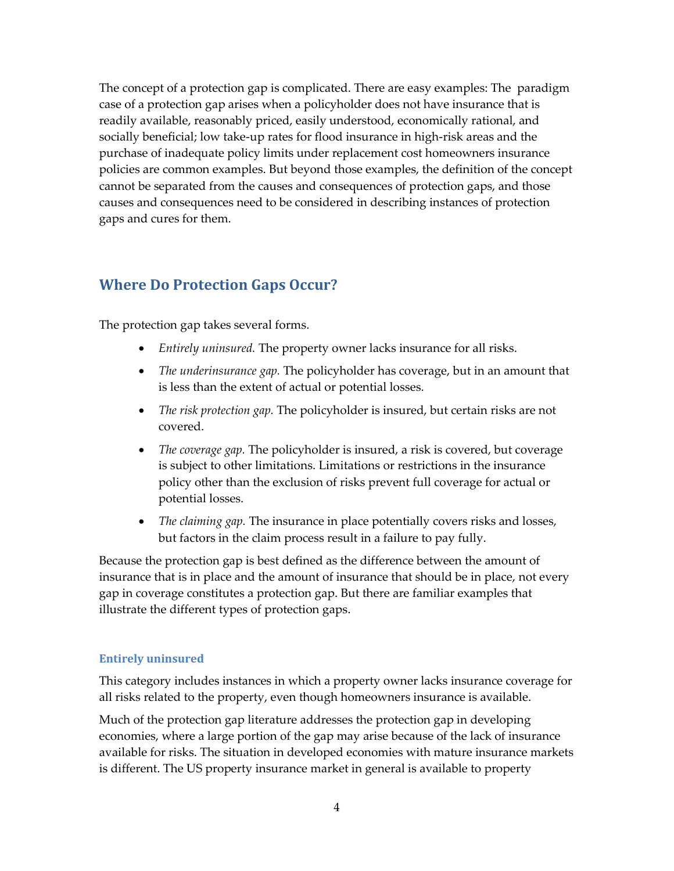The concept of a protection gap is complicated. There are easy examples: The paradigm case of a protection gap arises when a policyholder does not have insurance that is readily available, reasonably priced, easily understood, economically rational, and socially beneficial; low take-up rates for flood insurance in high-risk areas and the purchase of inadequate policy limits under replacement cost homeowners insurance policies are common examples. But beyond those examples, the definition of the concept cannot be separated from the causes and consequences of protection gaps, and those causes and consequences need to be considered in describing instances of protection gaps and cures for them.

# **Where Do Protection Gaps Occur?**

The protection gap takes several forms.

- *Entirely uninsured.* The property owner lacks insurance for all risks.
- *The underinsurance gap.* The policyholder has coverage, but in an amount that is less than the extent of actual or potential losses.
- *The risk protection gap.* The policyholder is insured, but certain risks are not covered.
- *The coverage gap.* The policyholder is insured, a risk is covered, but coverage is subject to other limitations. Limitations or restrictions in the insurance policy other than the exclusion of risks prevent full coverage for actual or potential losses.
- *The claiming gap.* The insurance in place potentially covers risks and losses, but factors in the claim process result in a failure to pay fully.

Because the protection gap is best defined as the difference between the amount of insurance that is in place and the amount of insurance that should be in place, not every gap in coverage constitutes a protection gap. But there are familiar examples that illustrate the different types of protection gaps.

### **Entirely uninsured**

This category includes instances in which a property owner lacks insurance coverage for all risks related to the property, even though homeowners insurance is available.

Much of the protection gap literature addresses the protection gap in developing economies, where a large portion of the gap may arise because of the lack of insurance available for risks. The situation in developed economies with mature insurance markets is different. The US property insurance market in general is available to property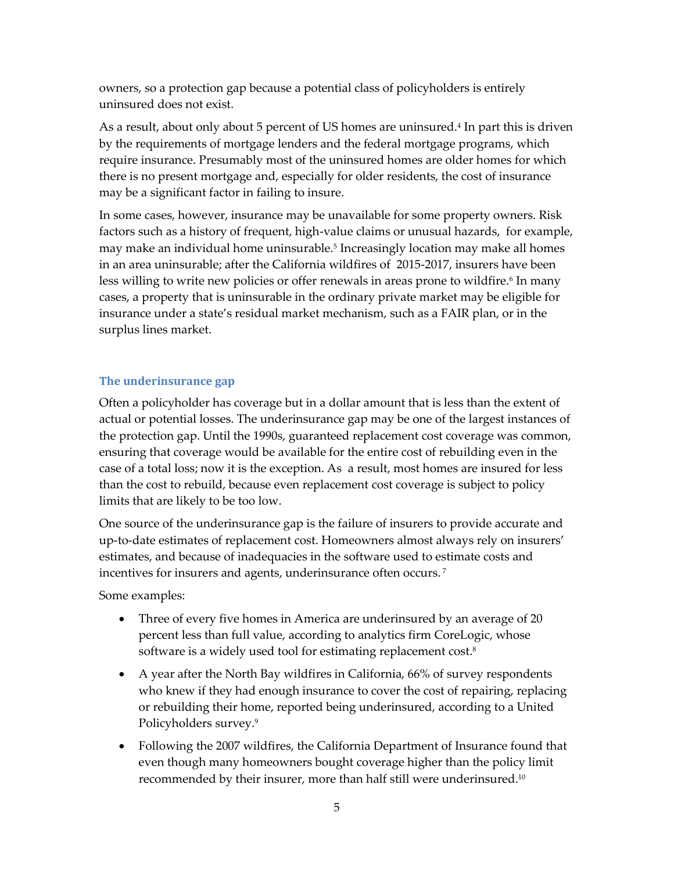owners, so a protection gap because a potential class of policyholders is entirely uninsured does not exist.

As a result, about only about 5 percent of US homes are uninsured.<sup>4</sup> In part this is driven by the requirements of mortgage lenders and the federal mortgage programs, which require insurance. Presumably most of the uninsured homes are older homes for which there is no present mortgage and, especially for older residents, the cost of insurance may be a significant factor in failing to insure.

In some cases, however, insurance may be unavailable for some property owners. Risk factors such as a history of frequent, high-value claims or unusual hazards, for example, may make an individual home uninsurable.<sup>5</sup> Increasingly location may make all homes in an area uninsurable; after the California wildfires of 2015-2017, insurers have been less willing to write new policies or offer renewals in areas prone to wildfire.6 In many cases, a property that is uninsurable in the ordinary private market may be eligible for insurance under a state's residual market mechanism, such as a FAIR plan, or in the surplus lines market.

#### **The underinsurance gap**

Often a policyholder has coverage but in a dollar amount that is less than the extent of actual or potential losses. The underinsurance gap may be one of the largest instances of the protection gap. Until the 1990s, guaranteed replacement cost coverage was common, ensuring that coverage would be available for the entire cost of rebuilding even in the case of a total loss; now it is the exception. As a result, most homes are insured for less than the cost to rebuild, because even replacement cost coverage is subject to policy limits that are likely to be too low.

One source of the underinsurance gap is the failure of insurers to provide accurate and up-to-date estimates of replacement cost. Homeowners almost always rely on insurers' estimates, and because of inadequacies in the software used to estimate costs and incentives for insurers and agents, underinsurance often occurs. <sup>7</sup>

Some examples:

- Three of every five homes in America are underinsured by an average of 20 percent less than full value, according to analytics firm CoreLogic, whose software is a widely used tool for estimating replacement cost. 8
- A year after the North Bay wildfires in California, 66% of survey respondents who knew if they had enough insurance to cover the cost of repairing, replacing or rebuilding their home, reported being underinsured, according to a United Policyholders survey.<sup>9</sup>
- Following the 2007 wildfires, the California Department of Insurance found that even though many homeowners bought coverage higher than the policy limit recommended by their insurer, more than half still were underinsured.10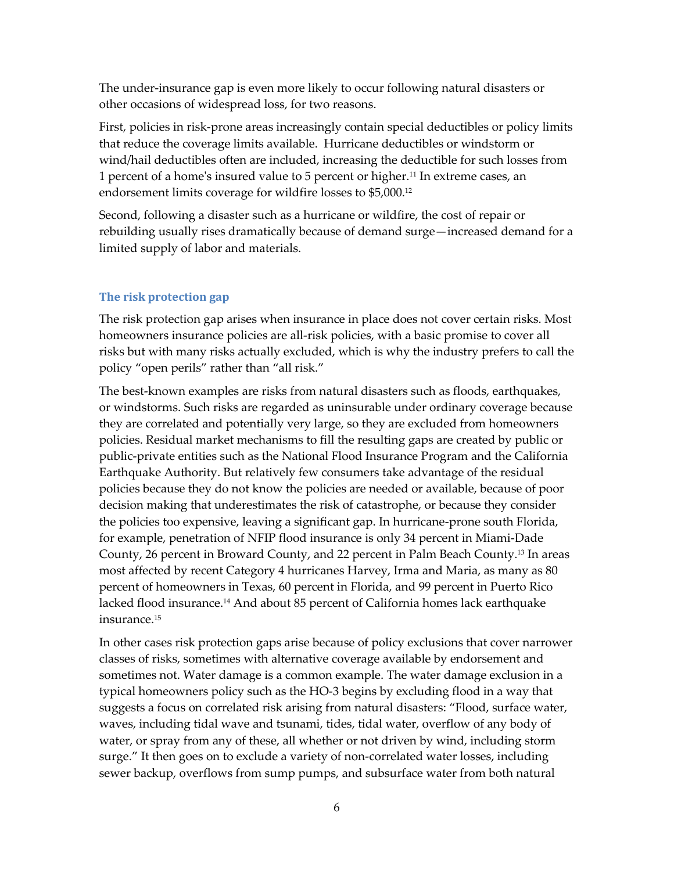The under-insurance gap is even more likely to occur following natural disasters or other occasions of widespread loss, for two reasons.

First, policies in risk-prone areas increasingly contain special deductibles or policy limits that reduce the coverage limits available. Hurricane deductibles or windstorm or wind/hail deductibles often are included, increasing the deductible for such losses from 1 percent of a home's insured value to 5 percent or higher.<sup>11</sup> In extreme cases, an endorsement limits coverage for wildfire losses to \$5,000.<sup>12</sup>

Second, following a disaster such as a hurricane or wildfire, the cost of repair or rebuilding usually rises dramatically because of demand surge—increased demand for a limited supply of labor and materials.

#### **The risk protection gap**

The risk protection gap arises when insurance in place does not cover certain risks. Most homeowners insurance policies are all-risk policies, with a basic promise to cover all risks but with many risks actually excluded, which is why the industry prefers to call the policy "open perils" rather than "all risk."

The best-known examples are risks from natural disasters such as floods, earthquakes, or windstorms. Such risks are regarded as uninsurable under ordinary coverage because they are correlated and potentially very large, so they are excluded from homeowners policies. Residual market mechanisms to fill the resulting gaps are created by public or public-private entities such as the National Flood Insurance Program and the California Earthquake Authority. But relatively few consumers take advantage of the residual policies because they do not know the policies are needed or available, because of poor decision making that underestimates the risk of catastrophe, or because they consider the policies too expensive, leaving a significant gap. In hurricane-prone south Florida, for example, penetration of NFIP flood insurance is only 34 percent in Miami-Dade County, 26 percent in Broward County, and 22 percent in Palm Beach County.<sup>13</sup> In areas most affected by recent Category 4 hurricanes Harvey, Irma and Maria, as many as 80 percent of homeowners in Texas, 60 percent in Florida, and 99 percent in Puerto Rico lacked flood insurance.<sup>14</sup> And about 85 percent of California homes lack earthquake insurance.<sup>15</sup>

In other cases risk protection gaps arise because of policy exclusions that cover narrower classes of risks, sometimes with alternative coverage available by endorsement and sometimes not. Water damage is a common example. The water damage exclusion in a typical homeowners policy such as the HO-3 begins by excluding flood in a way that suggests a focus on correlated risk arising from natural disasters: "Flood, surface water, waves, including tidal wave and tsunami, tides, tidal water, overflow of any body of water, or spray from any of these, all whether or not driven by wind, including storm surge." It then goes on to exclude a variety of non-correlated water losses, including sewer backup, overflows from sump pumps, and subsurface water from both natural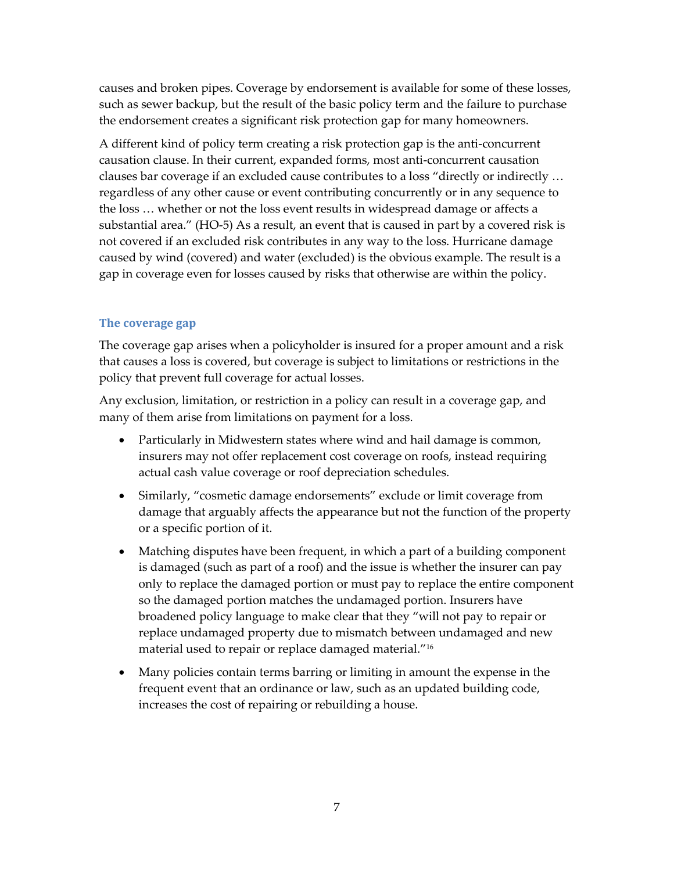causes and broken pipes. Coverage by endorsement is available for some of these losses, such as sewer backup, but the result of the basic policy term and the failure to purchase the endorsement creates a significant risk protection gap for many homeowners.

A different kind of policy term creating a risk protection gap is the anti-concurrent causation clause. In their current, expanded forms, most anti-concurrent causation clauses bar coverage if an excluded cause contributes to a loss "directly or indirectly … regardless of any other cause or event contributing concurrently or in any sequence to the loss … whether or not the loss event results in widespread damage or affects a substantial area." (HO-5) As a result, an event that is caused in part by a covered risk is not covered if an excluded risk contributes in any way to the loss. Hurricane damage caused by wind (covered) and water (excluded) is the obvious example. The result is a gap in coverage even for losses caused by risks that otherwise are within the policy.

#### **The coverage gap**

The coverage gap arises when a policyholder is insured for a proper amount and a risk that causes a loss is covered, but coverage is subject to limitations or restrictions in the policy that prevent full coverage for actual losses.

Any exclusion, limitation, or restriction in a policy can result in a coverage gap, and many of them arise from limitations on payment for a loss.

- Particularly in Midwestern states where wind and hail damage is common, insurers may not offer replacement cost coverage on roofs, instead requiring actual cash value coverage or roof depreciation schedules.
- Similarly, "cosmetic damage endorsements" exclude or limit coverage from damage that arguably affects the appearance but not the function of the property or a specific portion of it.
- Matching disputes have been frequent, in which a part of a building component is damaged (such as part of a roof) and the issue is whether the insurer can pay only to replace the damaged portion or must pay to replace the entire component so the damaged portion matches the undamaged portion. Insurers have broadened policy language to make clear that they "will not pay to repair or replace undamaged property due to mismatch between undamaged and new material used to repair or replace damaged material."<sup>16</sup>
- Many policies contain terms barring or limiting in amount the expense in the frequent event that an ordinance or law, such as an updated building code, increases the cost of repairing or rebuilding a house.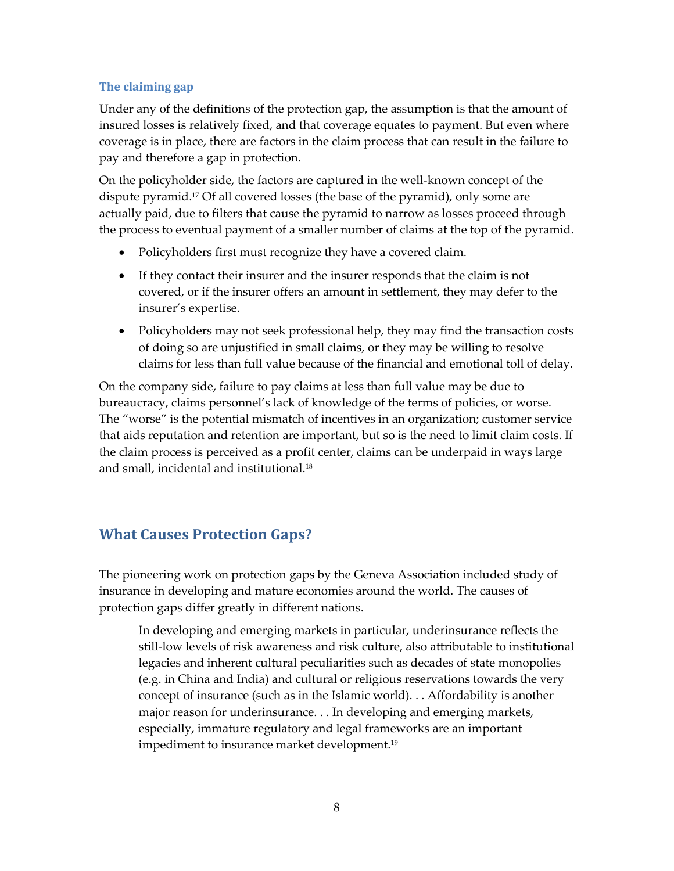## **The claiming gap**

Under any of the definitions of the protection gap, the assumption is that the amount of insured losses is relatively fixed, and that coverage equates to payment. But even where coverage is in place, there are factors in the claim process that can result in the failure to pay and therefore a gap in protection.

On the policyholder side, the factors are captured in the well-known concept of the dispute pyramid.<sup>17</sup> Of all covered losses (the base of the pyramid), only some are actually paid, due to filters that cause the pyramid to narrow as losses proceed through the process to eventual payment of a smaller number of claims at the top of the pyramid.

- Policyholders first must recognize they have a covered claim.
- If they contact their insurer and the insurer responds that the claim is not covered, or if the insurer offers an amount in settlement, they may defer to the insurer's expertise.
- Policyholders may not seek professional help, they may find the transaction costs of doing so are unjustified in small claims, or they may be willing to resolve claims for less than full value because of the financial and emotional toll of delay.

On the company side, failure to pay claims at less than full value may be due to bureaucracy, claims personnel's lack of knowledge of the terms of policies, or worse. The "worse" is the potential mismatch of incentives in an organization; customer service that aids reputation and retention are important, but so is the need to limit claim costs. If the claim process is perceived as a profit center, claims can be underpaid in ways large and small, incidental and institutional.<sup>18</sup>

# **What Causes Protection Gaps?**

The pioneering work on protection gaps by the Geneva Association included study of insurance in developing and mature economies around the world. The causes of protection gaps differ greatly in different nations.

In developing and emerging markets in particular, underinsurance reflects the still-low levels of risk awareness and risk culture, also attributable to institutional legacies and inherent cultural peculiarities such as decades of state monopolies (e.g. in China and India) and cultural or religious reservations towards the very concept of insurance (such as in the Islamic world). . . Affordability is another major reason for underinsurance. . . In developing and emerging markets, especially, immature regulatory and legal frameworks are an important impediment to insurance market development.<sup>19</sup>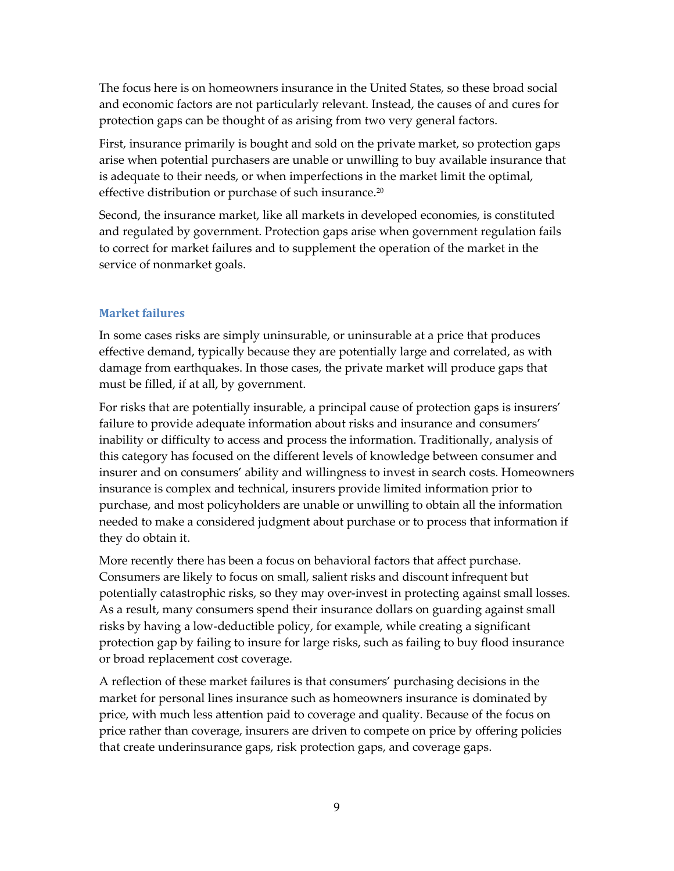The focus here is on homeowners insurance in the United States, so these broad social and economic factors are not particularly relevant. Instead, the causes of and cures for protection gaps can be thought of as arising from two very general factors.

First, insurance primarily is bought and sold on the private market, so protection gaps arise when potential purchasers are unable or unwilling to buy available insurance that is adequate to their needs, or when imperfections in the market limit the optimal, effective distribution or purchase of such insurance.<sup>20</sup>

Second, the insurance market, like all markets in developed economies, is constituted and regulated by government. Protection gaps arise when government regulation fails to correct for market failures and to supplement the operation of the market in the service of nonmarket goals.

#### **Market failures**

In some cases risks are simply uninsurable, or uninsurable at a price that produces effective demand, typically because they are potentially large and correlated, as with damage from earthquakes. In those cases, the private market will produce gaps that must be filled, if at all, by government.

For risks that are potentially insurable, a principal cause of protection gaps is insurers' failure to provide adequate information about risks and insurance and consumers' inability or difficulty to access and process the information. Traditionally, analysis of this category has focused on the different levels of knowledge between consumer and insurer and on consumers' ability and willingness to invest in search costs. Homeowners insurance is complex and technical, insurers provide limited information prior to purchase, and most policyholders are unable or unwilling to obtain all the information needed to make a considered judgment about purchase or to process that information if they do obtain it.

More recently there has been a focus on behavioral factors that affect purchase. Consumers are likely to focus on small, salient risks and discount infrequent but potentially catastrophic risks, so they may over-invest in protecting against small losses. As a result, many consumers spend their insurance dollars on guarding against small risks by having a low-deductible policy, for example, while creating a significant protection gap by failing to insure for large risks, such as failing to buy flood insurance or broad replacement cost coverage.

A reflection of these market failures is that consumers' purchasing decisions in the market for personal lines insurance such as homeowners insurance is dominated by price, with much less attention paid to coverage and quality. Because of the focus on price rather than coverage, insurers are driven to compete on price by offering policies that create underinsurance gaps, risk protection gaps, and coverage gaps.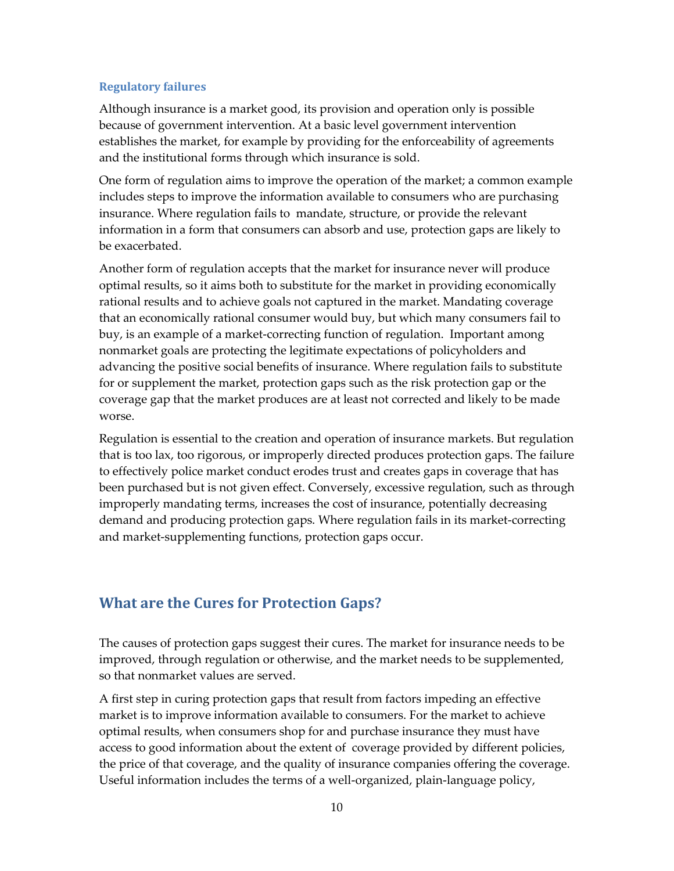#### **Regulatory failures**

Although insurance is a market good, its provision and operation only is possible because of government intervention. At a basic level government intervention establishes the market, for example by providing for the enforceability of agreements and the institutional forms through which insurance is sold.

One form of regulation aims to improve the operation of the market; a common example includes steps to improve the information available to consumers who are purchasing insurance. Where regulation fails to mandate, structure, or provide the relevant information in a form that consumers can absorb and use, protection gaps are likely to be exacerbated.

Another form of regulation accepts that the market for insurance never will produce optimal results, so it aims both to substitute for the market in providing economically rational results and to achieve goals not captured in the market. Mandating coverage that an economically rational consumer would buy, but which many consumers fail to buy, is an example of a market-correcting function of regulation. Important among nonmarket goals are protecting the legitimate expectations of policyholders and advancing the positive social benefits of insurance. Where regulation fails to substitute for or supplement the market, protection gaps such as the risk protection gap or the coverage gap that the market produces are at least not corrected and likely to be made worse.

Regulation is essential to the creation and operation of insurance markets. But regulation that is too lax, too rigorous, or improperly directed produces protection gaps. The failure to effectively police market conduct erodes trust and creates gaps in coverage that has been purchased but is not given effect. Conversely, excessive regulation, such as through improperly mandating terms, increases the cost of insurance, potentially decreasing demand and producing protection gaps. Where regulation fails in its market-correcting and market-supplementing functions, protection gaps occur.

## **What are the Cures for Protection Gaps?**

The causes of protection gaps suggest their cures. The market for insurance needs to be improved, through regulation or otherwise, and the market needs to be supplemented, so that nonmarket values are served.

A first step in curing protection gaps that result from factors impeding an effective market is to improve information available to consumers. For the market to achieve optimal results, when consumers shop for and purchase insurance they must have access to good information about the extent of coverage provided by different policies, the price of that coverage, and the quality of insurance companies offering the coverage. Useful information includes the terms of a well-organized, plain-language policy,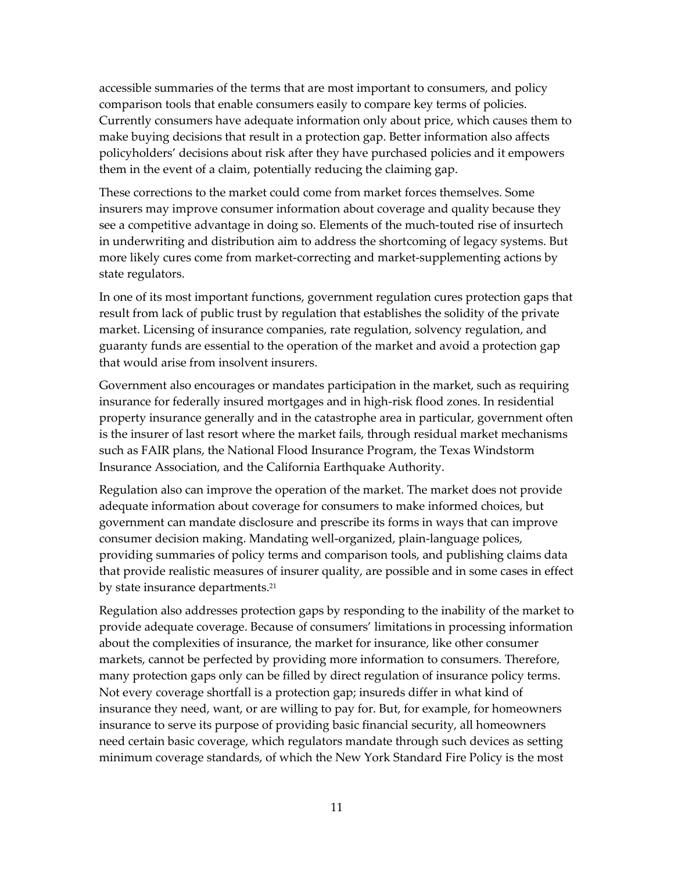accessible summaries of the terms that are most important to consumers, and policy comparison tools that enable consumers easily to compare key terms of policies. Currently consumers have adequate information only about price, which causes them to make buying decisions that result in a protection gap. Better information also affects policyholders' decisions about risk after they have purchased policies and it empowers them in the event of a claim, potentially reducing the claiming gap.

These corrections to the market could come from market forces themselves. Some insurers may improve consumer information about coverage and quality because they see a competitive advantage in doing so. Elements of the much-touted rise of insurtech in underwriting and distribution aim to address the shortcoming of legacy systems. But more likely cures come from market-correcting and market-supplementing actions by state regulators.

In one of its most important functions, government regulation cures protection gaps that result from lack of public trust by regulation that establishes the solidity of the private market. Licensing of insurance companies, rate regulation, solvency regulation, and guaranty funds are essential to the operation of the market and avoid a protection gap that would arise from insolvent insurers.

Government also encourages or mandates participation in the market, such as requiring insurance for federally insured mortgages and in high-risk flood zones. In residential property insurance generally and in the catastrophe area in particular, government often is the insurer of last resort where the market fails, through residual market mechanisms such as FAIR plans, the National Flood Insurance Program, the Texas Windstorm Insurance Association, and the California Earthquake Authority.

Regulation also can improve the operation of the market. The market does not provide adequate information about coverage for consumers to make informed choices, but government can mandate disclosure and prescribe its forms in ways that can improve consumer decision making. Mandating well-organized, plain-language polices, providing summaries of policy terms and comparison tools, and publishing claims data that provide realistic measures of insurer quality, are possible and in some cases in effect by state insurance departments.<sup>21</sup>

Regulation also addresses protection gaps by responding to the inability of the market to provide adequate coverage. Because of consumers' limitations in processing information about the complexities of insurance, the market for insurance, like other consumer markets, cannot be perfected by providing more information to consumers. Therefore, many protection gaps only can be filled by direct regulation of insurance policy terms. Not every coverage shortfall is a protection gap; insureds differ in what kind of insurance they need, want, or are willing to pay for. But, for example, for homeowners insurance to serve its purpose of providing basic financial security, all homeowners need certain basic coverage, which regulators mandate through such devices as setting minimum coverage standards, of which the New York Standard Fire Policy is the most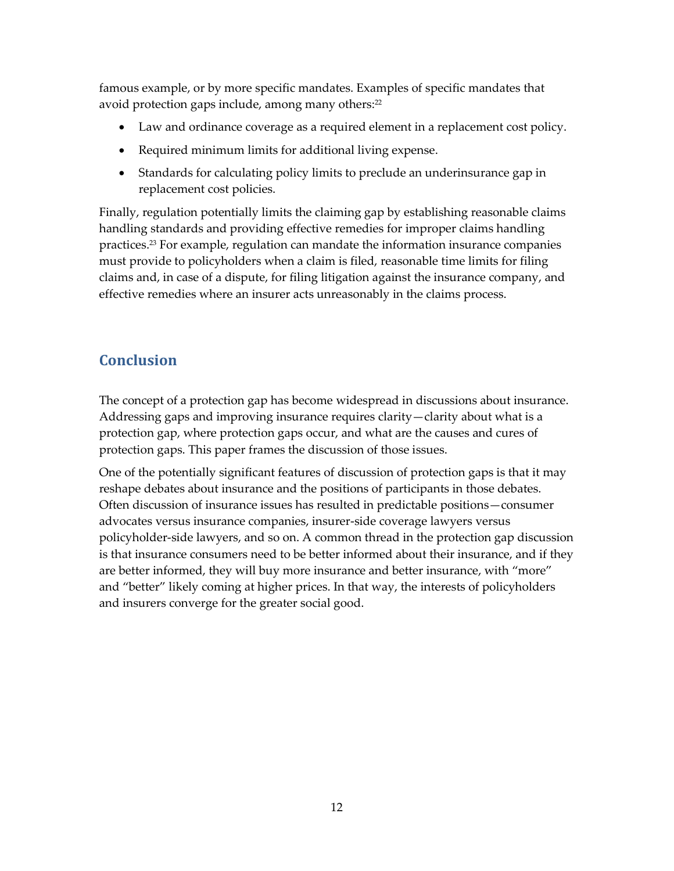famous example, or by more specific mandates. Examples of specific mandates that avoid protection gaps include, among many others: 22

- Law and ordinance coverage as a required element in a replacement cost policy.
- Required minimum limits for additional living expense.
- Standards for calculating policy limits to preclude an underinsurance gap in replacement cost policies.

Finally, regulation potentially limits the claiming gap by establishing reasonable claims handling standards and providing effective remedies for improper claims handling practices.<sup>23</sup> For example, regulation can mandate the information insurance companies must provide to policyholders when a claim is filed, reasonable time limits for filing claims and, in case of a dispute, for filing litigation against the insurance company, and effective remedies where an insurer acts unreasonably in the claims process.

# **Conclusion**

The concept of a protection gap has become widespread in discussions about insurance. Addressing gaps and improving insurance requires clarity—clarity about what is a protection gap, where protection gaps occur, and what are the causes and cures of protection gaps. This paper frames the discussion of those issues.

One of the potentially significant features of discussion of protection gaps is that it may reshape debates about insurance and the positions of participants in those debates. Often discussion of insurance issues has resulted in predictable positions—consumer advocates versus insurance companies, insurer-side coverage lawyers versus policyholder-side lawyers, and so on. A common thread in the protection gap discussion is that insurance consumers need to be better informed about their insurance, and if they are better informed, they will buy more insurance and better insurance, with "more" and "better" likely coming at higher prices. In that way, the interests of policyholders and insurers converge for the greater social good.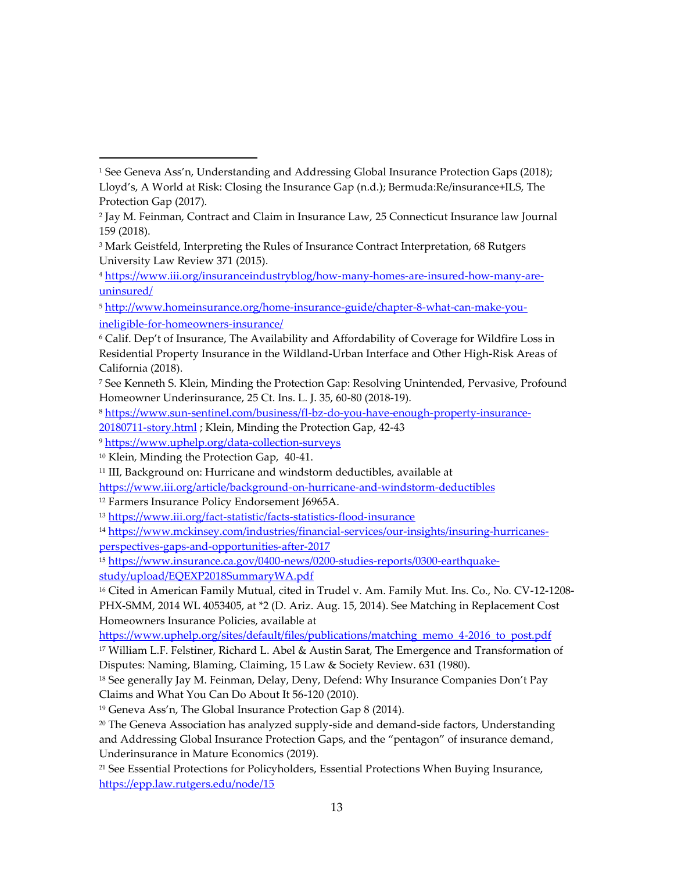[20180711-story.html](https://www.sun-sentinel.com/business/fl-bz-do-you-have-enough-property-insurance-20180711-story.html); Klein, Minding the Protection Gap, 42-43

<sup>12</sup> Farmers Insurance Policy Endorsement J6965A.

<sup>19</sup> Geneva Ass'n, The Global Insurance Protection Gap 8 (2014).

<sup>1</sup> See Geneva Ass'n, Understanding and Addressing Global Insurance Protection Gaps (2018); Lloyd's, A World at Risk: Closing the Insurance Gap (n.d.); Bermuda:Re/insurance+ILS, The Protection Gap (2017).

<sup>2</sup> Jay M. Feinman, Contract and Claim in Insurance Law, 25 Connecticut Insurance law Journal 159 (2018).

<sup>&</sup>lt;sup>3</sup> Mark Geistfeld, Interpreting the Rules of Insurance Contract Interpretation, 68 Rutgers University Law Review 371 (2015).

<sup>4</sup> [https://www.iii.org/insuranceindustryblog/how-many-homes-are-insured-how-many-are](https://www.iii.org/insuranceindustryblog/how-many-homes-are-insured-how-many-are-uninsured/)[uninsured/](https://www.iii.org/insuranceindustryblog/how-many-homes-are-insured-how-many-are-uninsured/)

<sup>5</sup> [http://www.homeinsurance.org/home-insurance-guide/chapter-8-what-can-make-you](http://www.homeinsurance.org/home-insurance-guide/chapter-8-what-can-make-you-ineligible-for-homeowners-insurance/)[ineligible-for-homeowners-insurance/](http://www.homeinsurance.org/home-insurance-guide/chapter-8-what-can-make-you-ineligible-for-homeowners-insurance/)

<sup>6</sup> Calif. Dep't of Insurance, The Availability and Affordability of Coverage for Wildfire Loss in Residential Property Insurance in the Wildland-Urban Interface and Other High-Risk Areas of California (2018).

<sup>7</sup> See Kenneth S. Klein, Minding the Protection Gap: Resolving Unintended, Pervasive, Profound Homeowner Underinsurance, 25 Ct. Ins. L. J. 35, 60-80 (2018-19).

<sup>8</sup> [https://www.sun-sentinel.com/business/fl-bz-do-you-have-enough-property-insurance-](https://www.sun-sentinel.com/business/fl-bz-do-you-have-enough-property-insurance-20180711-story.html)

<sup>9</sup> <https://www.uphelp.org/data-collection-surveys>

<sup>10</sup> Klein, Minding the Protection Gap, 40-41.

<sup>&</sup>lt;sup>11</sup> III, Background on: Hurricane and windstorm deductibles, available at

<https://www.iii.org/article/background-on-hurricane-and-windstorm-deductibles>

<sup>13</sup> <https://www.iii.org/fact-statistic/facts-statistics-flood-insurance>

<sup>14</sup> [https://www.mckinsey.com/industries/financial-services/our-insights/insuring-hurricanes](https://www.mckinsey.com/industries/financial-services/our-insights/insuring-hurricanes-perspectives-gaps-and-opportunities-after-2017)[perspectives-gaps-and-opportunities-after-2017](https://www.mckinsey.com/industries/financial-services/our-insights/insuring-hurricanes-perspectives-gaps-and-opportunities-after-2017)

<sup>15</sup> [https://www.insurance.ca.gov/0400-news/0200-studies-reports/0300-earthquake](https://www.insurance.ca.gov/0400-news/0200-studies-reports/0300-earthquake-study/upload/EQEXP2018SummaryWA.pdf)[study/upload/EQEXP2018SummaryWA.pdf](https://www.insurance.ca.gov/0400-news/0200-studies-reports/0300-earthquake-study/upload/EQEXP2018SummaryWA.pdf)

<sup>&</sup>lt;sup>16</sup> Cited in American Family Mutual, cited in Trudel v. Am. Family Mut. Ins. Co., No. CV-12-1208-PHX-SMM, 2014 WL 4053405, at \*2 (D. Ariz. Aug. 15, 2014). See Matching in Replacement Cost Homeowners Insurance Policies, available at

[https://www.uphelp.org/sites/default/files/publications/matching\\_memo\\_4-2016\\_to\\_post.pdf](https://www.uphelp.org/sites/default/files/publications/matching_memo_4-2016_to_post.pdf)

<sup>&</sup>lt;sup>17</sup> William L.F. Felstiner, Richard L. Abel & Austin Sarat, The Emergence and Transformation of Disputes: Naming, Blaming, Claiming, 15 Law & Society Review. 631 (1980).

<sup>&</sup>lt;sup>18</sup> See generally Jay M. Feinman, Delay, Deny, Defend: Why Insurance Companies Don't Pay Claims and What You Can Do About It 56-120 (2010).

 $20$  The Geneva Association has analyzed supply-side and demand-side factors, Understanding and Addressing Global Insurance Protection Gaps, and the "pentagon" of insurance demand, Underinsurance in Mature Economics (2019).

<sup>21</sup> See Essential Protections for Policyholders, Essential Protections When Buying Insurance, <https://epp.law.rutgers.edu/node/15>